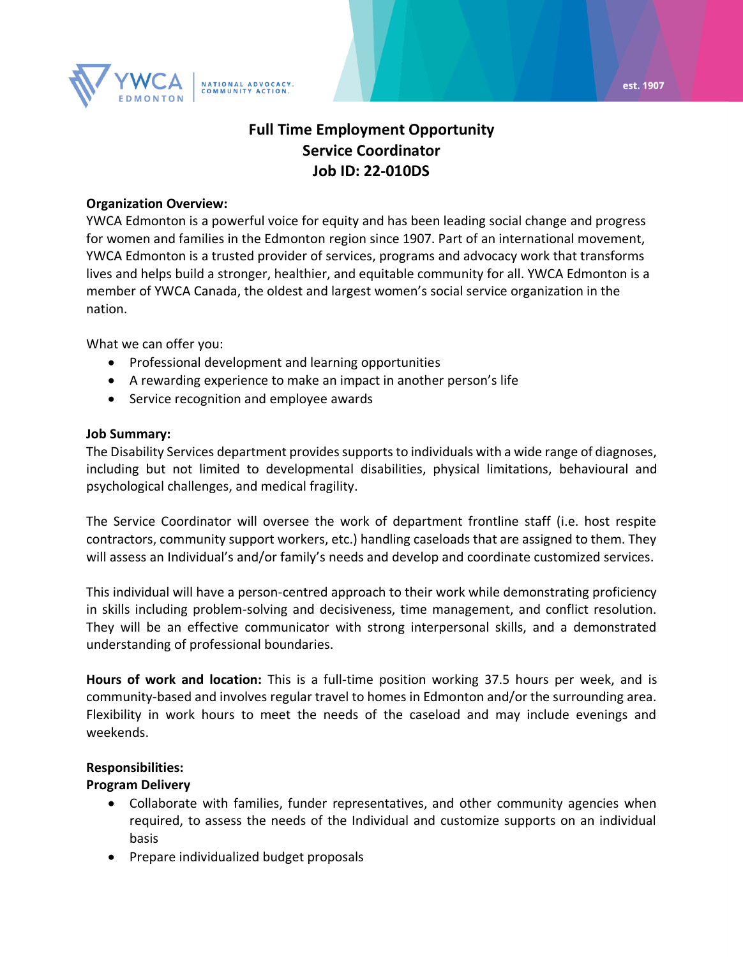

# **Full Time Employment Opportunity Service Coordinator Job ID: 22-010DS**

#### **Organization Overview:**

YWCA Edmonton is a powerful voice for equity and has been leading social change and progress for women and families in the Edmonton region since 1907. Part of an international movement, YWCA Edmonton is a trusted provider of services, programs and advocacy work that transforms lives and helps build a stronger, healthier, and equitable community for all. YWCA Edmonton is a member of YWCA Canada, the oldest and largest women's social service organization in the nation.

What we can offer you:

- Professional development and learning opportunities
- A rewarding experience to make an impact in another person's life
- Service recognition and employee awards

### **Job Summary:**

The Disability Services department provides supports to individuals with a wide range of diagnoses, including but not limited to developmental disabilities, physical limitations, behavioural and psychological challenges, and medical fragility.

The Service Coordinator will oversee the work of department frontline staff (i.e. host respite contractors, community support workers, etc.) handling caseloads that are assigned to them. They will assess an Individual's and/or family's needs and develop and coordinate customized services.

This individual will have a person-centred approach to their work while demonstrating proficiency in skills including problem-solving and decisiveness, time management, and conflict resolution. They will be an effective communicator with strong interpersonal skills, and a demonstrated understanding of professional boundaries.

**Hours of work and location:** This is a full-time position working 37.5 hours per week, and is community-based and involves regular travel to homes in Edmonton and/or the surrounding area. Flexibility in work hours to meet the needs of the caseload and may include evenings and weekends.

#### **Responsibilities:**

# **Program Delivery**

- Collaborate with families, funder representatives, and other community agencies when required, to assess the needs of the Individual and customize supports on an individual basis
- Prepare individualized budget proposals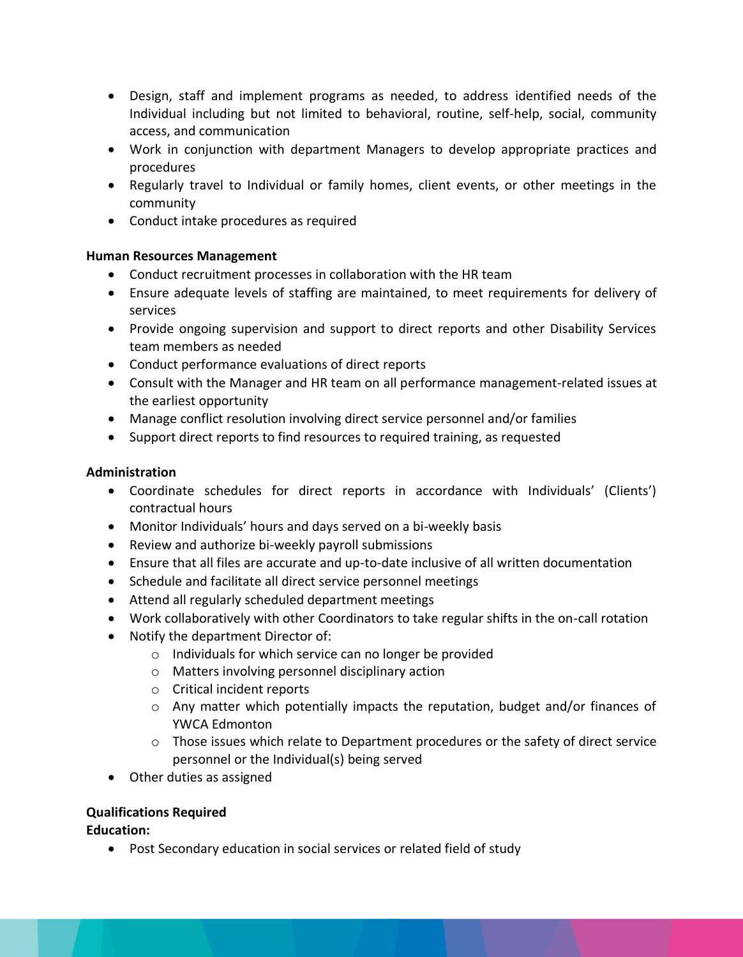- Design, staff and implement programs as needed, to address identified needs of the Individual including but not limited to behavioral, routine, self-help, social, community access, and communication
- Work in conjunction with department Managers to develop appropriate practices and procedures
- Regularly travel to Individual or family homes, client events, or other meetings in the community
- Conduct intake procedures as required

# **Human Resources Management**

- Conduct recruitment processes in collaboration with the HR team
- Ensure adequate levels of staffing are maintained, to meet requirements for delivery of services
- Provide ongoing supervision and support to direct reports and other Disability Services team members as needed
- Conduct performance evaluations of direct reports
- Consult with the Manager and HR team on all performance management-related issues at the earliest opportunity
- Manage conflict resolution involving direct service personnel and/or families
- Support direct reports to find resources to required training, as requested

# **Administration**

- Coordinate schedules for direct reports in accordance with Individuals' (Clients') contractual hours
- Monitor Individuals' hours and days served on a bi-weekly basis
- Review and authorize bi-weekly payroll submissions
- Ensure that all files are accurate and up-to-date inclusive of all written documentation
- Schedule and facilitate all direct service personnel meetings
- Attend all regularly scheduled department meetings
- Work collaboratively with other Coordinators to take regular shifts in the on-call rotation
- Notify the department Director of:
	- o Individuals for which service can no longer be provided
	- o Matters involving personnel disciplinary action
	- o Critical incident reports
	- o Any matter which potentially impacts the reputation, budget and/or finances of YWCA Edmonton
	- o Those issues which relate to Department procedures or the safety of direct service personnel or the Individual(s) being served
- Other duties as assigned

# **Qualifications Required**

**Education:**

• Post Secondary education in social services or related field of study